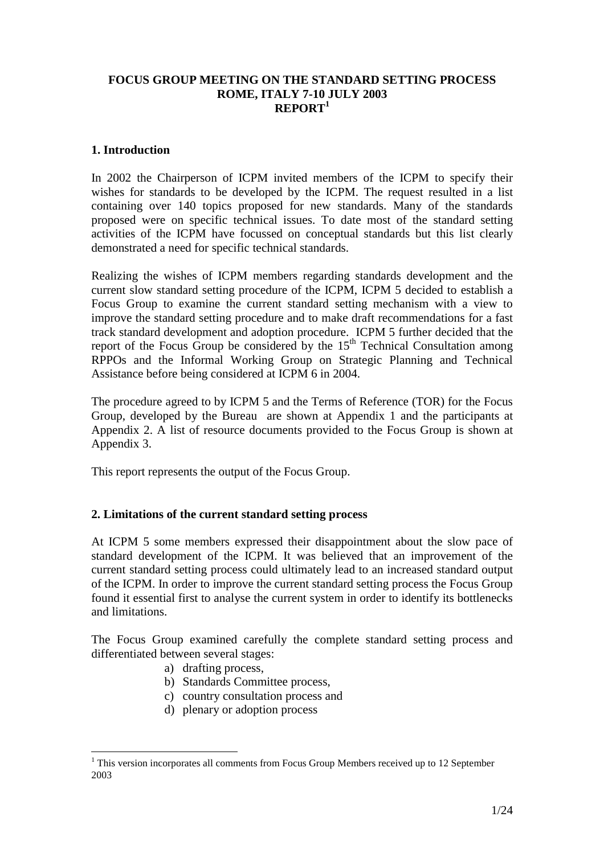#### **FOCUS GROUP MEETING ON THE STANDARD SETTING PROCESS ROME, ITALY 7-10 JULY 2003 REPORT<sup>1</sup>**

### **1. Introduction**

In 2002 the Chairperson of ICPM invited members of the ICPM to specify their wishes for standards to be developed by the ICPM. The request resulted in a list containing over 140 topics proposed for new standards. Many of the standards proposed were on specific technical issues. To date most of the standard setting activities of the ICPM have focussed on conceptual standards but this list clearly demonstrated a need for specific technical standards.

Realizing the wishes of ICPM members regarding standards development and the current slow standard setting procedure of the ICPM, ICPM 5 decided to establish a Focus Group to examine the current standard setting mechanism with a view to improve the standard setting procedure and to make draft recommendations for a fast track standard development and adoption procedure. ICPM 5 further decided that the report of the Focus Group be considered by the  $15<sup>th</sup>$  Technical Consultation among RPPOs and the Informal Working Group on Strategic Planning and Technical Assistance before being considered at ICPM 6 in 2004.

The procedure agreed to by ICPM 5 and the Terms of Reference (TOR) for the Focus Group, developed by the Bureau are shown at Appendix 1 and the participants at Appendix 2. A list of resource documents provided to the Focus Group is shown at Appendix 3.

This report represents the output of the Focus Group.

## **2. Limitations of the current standard setting process**

At ICPM 5 some members expressed their disappointment about the slow pace of standard development of the ICPM. It was believed that an improvement of the current standard setting process could ultimately lead to an increased standard output of the ICPM. In order to improve the current standard setting process the Focus Group found it essential first to analyse the current system in order to identify its bottlenecks and limitations.

The Focus Group examined carefully the complete standard setting process and differentiated between several stages:

- a) drafting process,
- b) Standards Committee process,
- c) country consultation process and
- d) plenary or adoption process

 $\overline{a}$  $<sup>1</sup>$  This version incorporates all comments from Focus Group Members received up to 12 September</sup> 2003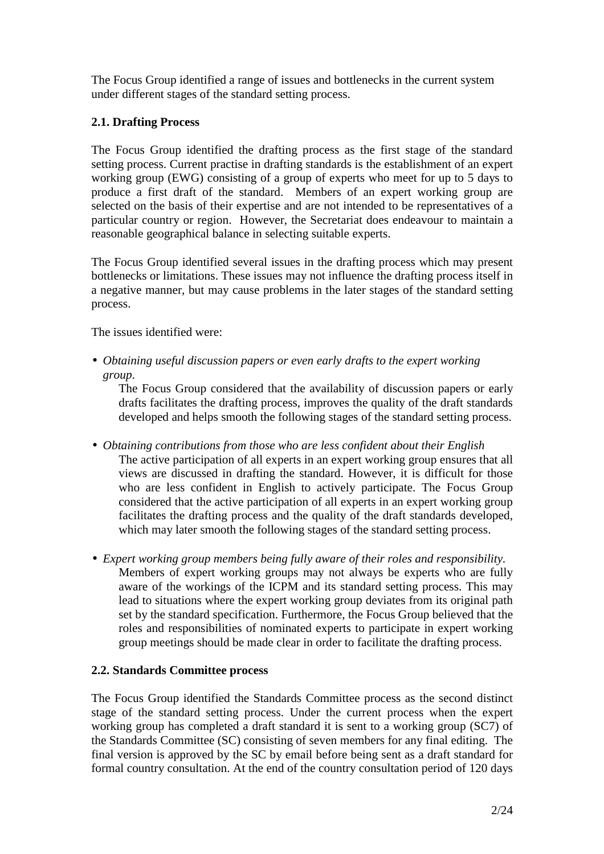The Focus Group identified a range of issues and bottlenecks in the current system under different stages of the standard setting process.

# **2.1. Drafting Process**

The Focus Group identified the drafting process as the first stage of the standard setting process. Current practise in drafting standards is the establishment of an expert working group (EWG) consisting of a group of experts who meet for up to 5 days to produce a first draft of the standard. Members of an expert working group are selected on the basis of their expertise and are not intended to be representatives of a particular country or region. However, the Secretariat does endeavour to maintain a reasonable geographical balance in selecting suitable experts.

The Focus Group identified several issues in the drafting process which may present bottlenecks or limitations. These issues may not influence the drafting process itself in a negative manner, but may cause problems in the later stages of the standard setting process.

The issues identified were:

• *Obtaining useful discussion papers or even early drafts to the expert working group*.

The Focus Group considered that the availability of discussion papers or early drafts facilitates the drafting process, improves the quality of the draft standards developed and helps smooth the following stages of the standard setting process.

- *Obtaining contributions from those who are less confident about their English*  The active participation of all experts in an expert working group ensures that all views are discussed in drafting the standard. However, it is difficult for those who are less confident in English to actively participate. The Focus Group considered that the active participation of all experts in an expert working group facilitates the drafting process and the quality of the draft standards developed, which may later smooth the following stages of the standard setting process.
- *Expert working group members being fully aware of their roles and responsibility.*  Members of expert working groups may not always be experts who are fully aware of the workings of the ICPM and its standard setting process. This may lead to situations where the expert working group deviates from its original path set by the standard specification. Furthermore, the Focus Group believed that the roles and responsibilities of nominated experts to participate in expert working group meetings should be made clear in order to facilitate the drafting process.

## **2.2. Standards Committee process**

The Focus Group identified the Standards Committee process as the second distinct stage of the standard setting process. Under the current process when the expert working group has completed a draft standard it is sent to a working group (SC7) of the Standards Committee (SC) consisting of seven members for any final editing. The final version is approved by the SC by email before being sent as a draft standard for formal country consultation. At the end of the country consultation period of 120 days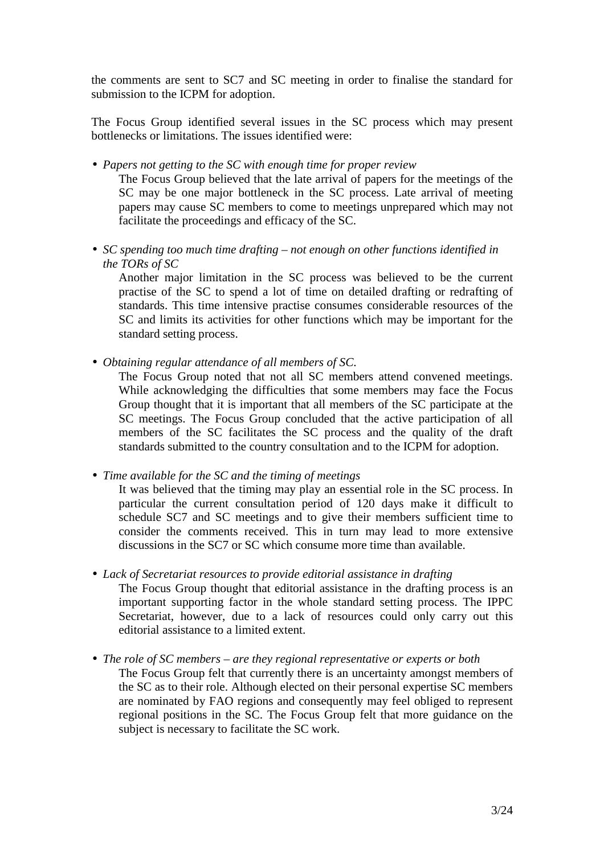the comments are sent to SC7 and SC meeting in order to finalise the standard for submission to the ICPM for adoption.

The Focus Group identified several issues in the SC process which may present bottlenecks or limitations. The issues identified were:

• *Papers not getting to the SC with enough time for proper review* 

The Focus Group believed that the late arrival of papers for the meetings of the SC may be one major bottleneck in the SC process. Late arrival of meeting papers may cause SC members to come to meetings unprepared which may not facilitate the proceedings and efficacy of the SC.

• *SC spending too much time drafting – not enough on other functions identified in the TORs of SC* 

Another major limitation in the SC process was believed to be the current practise of the SC to spend a lot of time on detailed drafting or redrafting of standards. This time intensive practise consumes considerable resources of the SC and limits its activities for other functions which may be important for the standard setting process.

• *Obtaining regular attendance of all members of SC.* 

The Focus Group noted that not all SC members attend convened meetings. While acknowledging the difficulties that some members may face the Focus Group thought that it is important that all members of the SC participate at the SC meetings. The Focus Group concluded that the active participation of all members of the SC facilitates the SC process and the quality of the draft standards submitted to the country consultation and to the ICPM for adoption.

• *Time available for the SC and the timing of meetings* 

It was believed that the timing may play an essential role in the SC process. In particular the current consultation period of 120 days make it difficult to schedule SC7 and SC meetings and to give their members sufficient time to consider the comments received. This in turn may lead to more extensive discussions in the SC7 or SC which consume more time than available.

• *Lack of Secretariat resources to provide editorial assistance in drafting* 

The Focus Group thought that editorial assistance in the drafting process is an important supporting factor in the whole standard setting process. The IPPC Secretariat, however, due to a lack of resources could only carry out this editorial assistance to a limited extent.

• *The role of SC members – are they regional representative or experts or both*  The Focus Group felt that currently there is an uncertainty amongst members of the SC as to their role. Although elected on their personal expertise SC members are nominated by FAO regions and consequently may feel obliged to represent regional positions in the SC. The Focus Group felt that more guidance on the subject is necessary to facilitate the SC work.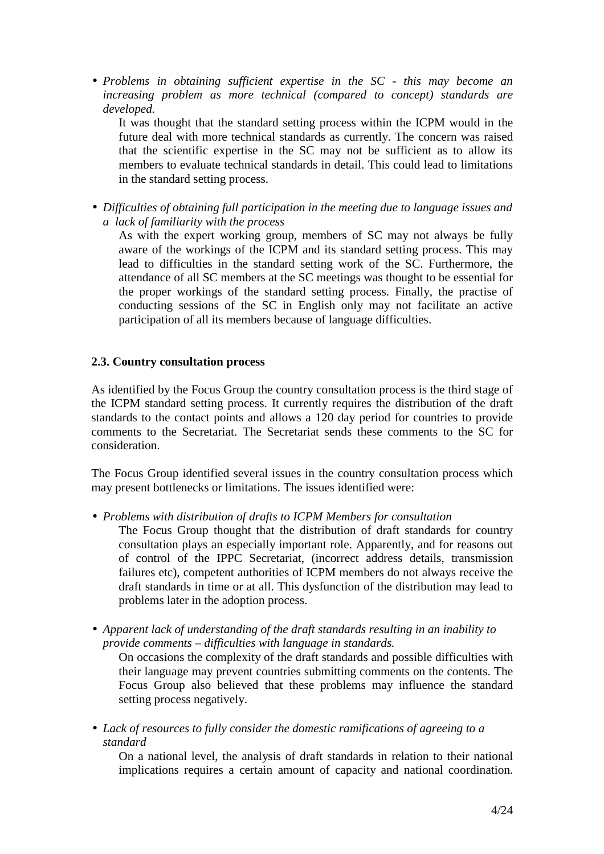• *Problems in obtaining sufficient expertise in the SC - this may become an increasing problem as more technical (compared to concept) standards are developed.* 

It was thought that the standard setting process within the ICPM would in the future deal with more technical standards as currently. The concern was raised that the scientific expertise in the SC may not be sufficient as to allow its members to evaluate technical standards in detail. This could lead to limitations in the standard setting process.

• *Difficulties of obtaining full participation in the meeting due to language issues and a lack of familiarity with the process* 

As with the expert working group, members of SC may not always be fully aware of the workings of the ICPM and its standard setting process. This may lead to difficulties in the standard setting work of the SC. Furthermore, the attendance of all SC members at the SC meetings was thought to be essential for the proper workings of the standard setting process. Finally, the practise of conducting sessions of the SC in English only may not facilitate an active participation of all its members because of language difficulties.

### **2.3. Country consultation process**

As identified by the Focus Group the country consultation process is the third stage of the ICPM standard setting process. It currently requires the distribution of the draft standards to the contact points and allows a 120 day period for countries to provide comments to the Secretariat. The Secretariat sends these comments to the SC for consideration.

The Focus Group identified several issues in the country consultation process which may present bottlenecks or limitations. The issues identified were:

- *Problems with distribution of drafts to ICPM Members for consultation* 
	- The Focus Group thought that the distribution of draft standards for country consultation plays an especially important role. Apparently, and for reasons out of control of the IPPC Secretariat, (incorrect address details, transmission failures etc), competent authorities of ICPM members do not always receive the draft standards in time or at all. This dysfunction of the distribution may lead to problems later in the adoption process.
- *Apparent lack of understanding of the draft standards resulting in an inability to provide comments – difficulties with language in standards.*

On occasions the complexity of the draft standards and possible difficulties with their language may prevent countries submitting comments on the contents. The Focus Group also believed that these problems may influence the standard setting process negatively.

• *Lack of resources to fully consider the domestic ramifications of agreeing to a standard* 

On a national level, the analysis of draft standards in relation to their national implications requires a certain amount of capacity and national coordination.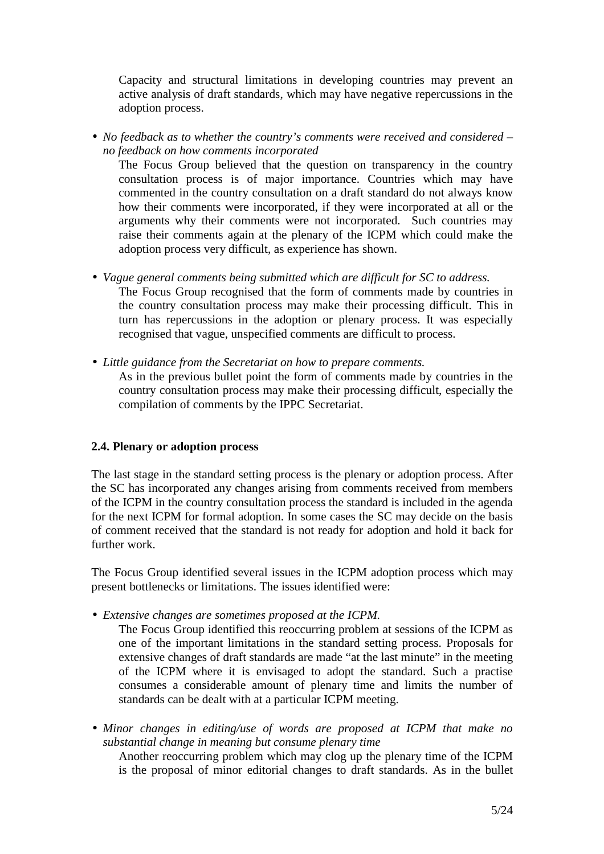Capacity and structural limitations in developing countries may prevent an active analysis of draft standards, which may have negative repercussions in the adoption process.

• *No feedback as to whether the country's comments were received and considered – no feedback on how comments incorporated* 

The Focus Group believed that the question on transparency in the country consultation process is of major importance. Countries which may have commented in the country consultation on a draft standard do not always know how their comments were incorporated, if they were incorporated at all or the arguments why their comments were not incorporated. Such countries may raise their comments again at the plenary of the ICPM which could make the adoption process very difficult, as experience has shown.

- *Vague general comments being submitted which are difficult for SC to address.*  The Focus Group recognised that the form of comments made by countries in the country consultation process may make their processing difficult. This in turn has repercussions in the adoption or plenary process. It was especially recognised that vague, unspecified comments are difficult to process.
- *Little guidance from the Secretariat on how to prepare comments.* 
	- As in the previous bullet point the form of comments made by countries in the country consultation process may make their processing difficult, especially the compilation of comments by the IPPC Secretariat.

## **2.4. Plenary or adoption process**

The last stage in the standard setting process is the plenary or adoption process. After the SC has incorporated any changes arising from comments received from members of the ICPM in the country consultation process the standard is included in the agenda for the next ICPM for formal adoption. In some cases the SC may decide on the basis of comment received that the standard is not ready for adoption and hold it back for further work.

The Focus Group identified several issues in the ICPM adoption process which may present bottlenecks or limitations. The issues identified were:

• *Extensive changes are sometimes proposed at the ICPM.* 

The Focus Group identified this reoccurring problem at sessions of the ICPM as one of the important limitations in the standard setting process. Proposals for extensive changes of draft standards are made "at the last minute" in the meeting of the ICPM where it is envisaged to adopt the standard. Such a practise consumes a considerable amount of plenary time and limits the number of standards can be dealt with at a particular ICPM meeting.

• *Minor changes in editing/use of words are proposed at ICPM that make no substantial change in meaning but consume plenary time* 

Another reoccurring problem which may clog up the plenary time of the ICPM is the proposal of minor editorial changes to draft standards. As in the bullet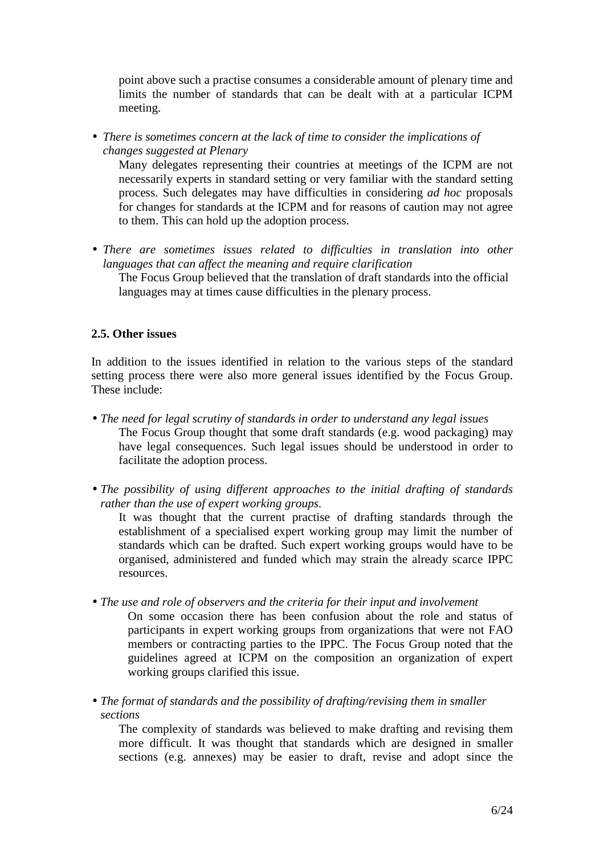point above such a practise consumes a considerable amount of plenary time and limits the number of standards that can be dealt with at a particular ICPM meeting.

• *There is sometimes concern at the lack of time to consider the implications of changes suggested at Plenary* 

Many delegates representing their countries at meetings of the ICPM are not necessarily experts in standard setting or very familiar with the standard setting process. Such delegates may have difficulties in considering *ad hoc* proposals for changes for standards at the ICPM and for reasons of caution may not agree to them. This can hold up the adoption process.

• *There are sometimes issues related to difficulties in translation into other languages that can affect the meaning and require clarification* 

The Focus Group believed that the translation of draft standards into the official languages may at times cause difficulties in the plenary process.

### **2.5. Other issues**

In addition to the issues identified in relation to the various steps of the standard setting process there were also more general issues identified by the Focus Group. These include:

- *The need for legal scrutiny of standards in order to understand any legal issues*  The Focus Group thought that some draft standards (e.g. wood packaging) may have legal consequences. Such legal issues should be understood in order to facilitate the adoption process.
- *The possibility of using different approaches to the initial drafting of standards rather than the use of expert working groups.*

It was thought that the current practise of drafting standards through the establishment of a specialised expert working group may limit the number of standards which can be drafted. Such expert working groups would have to be organised, administered and funded which may strain the already scarce IPPC resources.

• *The use and role of observers and the criteria for their input and involvement*  On some occasion there has been confusion about the role and status of participants in expert working groups from organizations that were not FAO

members or contracting parties to the IPPC. The Focus Group noted that the guidelines agreed at ICPM on the composition an organization of expert working groups clarified this issue.

• *The format of standards and the possibility of drafting/revising them in smaller sections* 

The complexity of standards was believed to make drafting and revising them more difficult. It was thought that standards which are designed in smaller sections (e.g. annexes) may be easier to draft, revise and adopt since the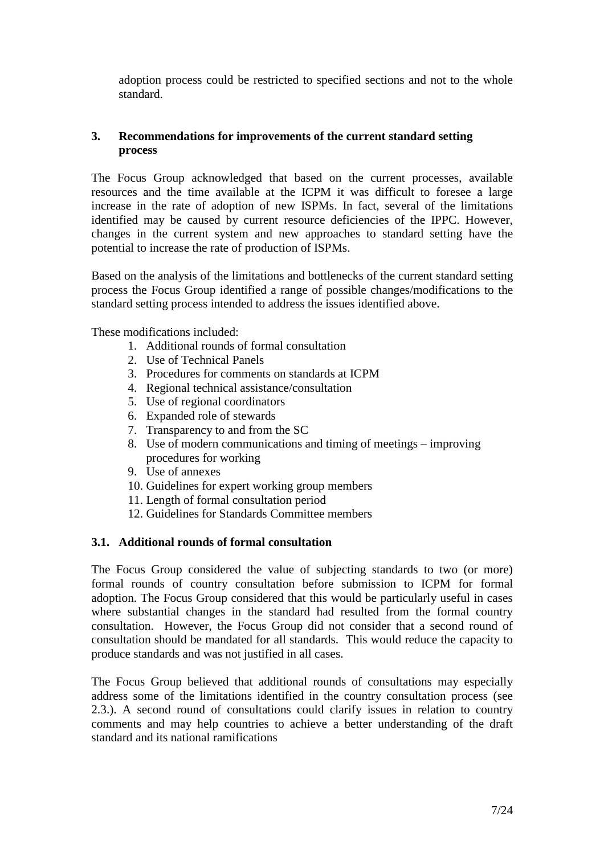adoption process could be restricted to specified sections and not to the whole standard.

## **3. Recommendations for improvements of the current standard setting process**

The Focus Group acknowledged that based on the current processes, available resources and the time available at the ICPM it was difficult to foresee a large increase in the rate of adoption of new ISPMs. In fact, several of the limitations identified may be caused by current resource deficiencies of the IPPC. However, changes in the current system and new approaches to standard setting have the potential to increase the rate of production of ISPMs.

Based on the analysis of the limitations and bottlenecks of the current standard setting process the Focus Group identified a range of possible changes/modifications to the standard setting process intended to address the issues identified above.

These modifications included:

- 1. Additional rounds of formal consultation
- 2. Use of Technical Panels
- 3. Procedures for comments on standards at ICPM
- 4. Regional technical assistance/consultation
- 5. Use of regional coordinators
- 6. Expanded role of stewards
- 7. Transparency to and from the SC
- 8. Use of modern communications and timing of meetings improving procedures for working
- 9. Use of annexes
- 10. Guidelines for expert working group members
- 11. Length of formal consultation period
- 12. Guidelines for Standards Committee members

## **3.1. Additional rounds of formal consultation**

The Focus Group considered the value of subjecting standards to two (or more) formal rounds of country consultation before submission to ICPM for formal adoption. The Focus Group considered that this would be particularly useful in cases where substantial changes in the standard had resulted from the formal country consultation. However, the Focus Group did not consider that a second round of consultation should be mandated for all standards. This would reduce the capacity to produce standards and was not justified in all cases.

The Focus Group believed that additional rounds of consultations may especially address some of the limitations identified in the country consultation process (see 2.3.). A second round of consultations could clarify issues in relation to country comments and may help countries to achieve a better understanding of the draft standard and its national ramifications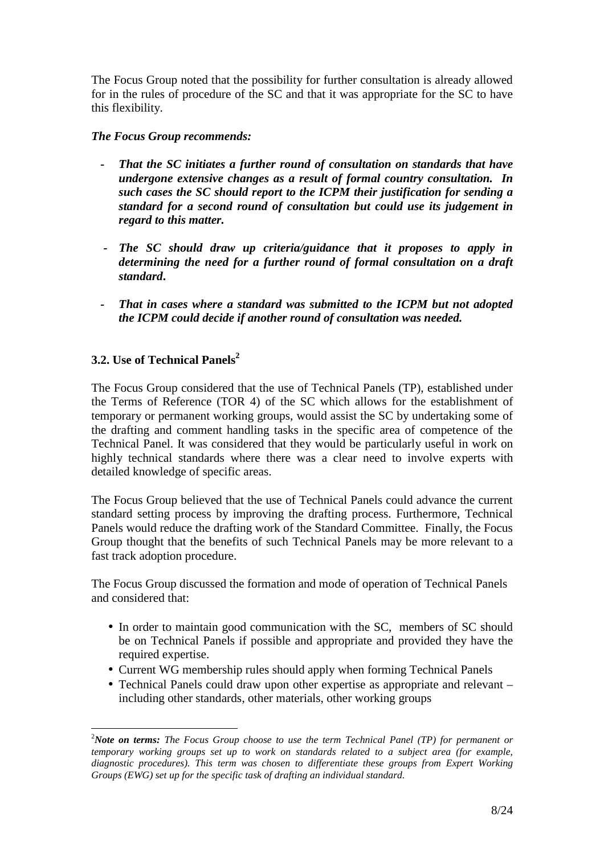The Focus Group noted that the possibility for further consultation is already allowed for in the rules of procedure of the SC and that it was appropriate for the SC to have this flexibility.

### *The Focus Group recommends:*

- *That the SC initiates a further round of consultation on standards that have undergone extensive changes as a result of formal country consultation. In such cases the SC should report to the ICPM their justification for sending a standard for a second round of consultation but could use its judgement in regard to this matter.*
- *The SC should draw up criteria/guidance that it proposes to apply in determining the need for a further round of formal consultation on a draft standard***.**
- That in cases where a standard was submitted to the ICPM but not adopted *the ICPM could decide if another round of consultation was needed.*

# **3.2. Use of Technical Panels<sup>2</sup>**

 $\overline{a}$ 

The Focus Group considered that the use of Technical Panels (TP), established under the Terms of Reference (TOR 4) of the SC which allows for the establishment of temporary or permanent working groups, would assist the SC by undertaking some of the drafting and comment handling tasks in the specific area of competence of the Technical Panel. It was considered that they would be particularly useful in work on highly technical standards where there was a clear need to involve experts with detailed knowledge of specific areas.

The Focus Group believed that the use of Technical Panels could advance the current standard setting process by improving the drafting process. Furthermore, Technical Panels would reduce the drafting work of the Standard Committee. Finally, the Focus Group thought that the benefits of such Technical Panels may be more relevant to a fast track adoption procedure.

The Focus Group discussed the formation and mode of operation of Technical Panels and considered that:

- In order to maintain good communication with the SC, members of SC should be on Technical Panels if possible and appropriate and provided they have the required expertise.
- Current WG membership rules should apply when forming Technical Panels
- Technical Panels could draw upon other expertise as appropriate and relevant including other standards, other materials, other working groups

<sup>2</sup> *Note on terms: The Focus Group choose to use the term Technical Panel (TP) for permanent or temporary working groups set up to work on standards related to a subject area (for example, diagnostic procedures). This term was chosen to differentiate these groups from Expert Working Groups (EWG) set up for the specific task of drafting an individual standard.*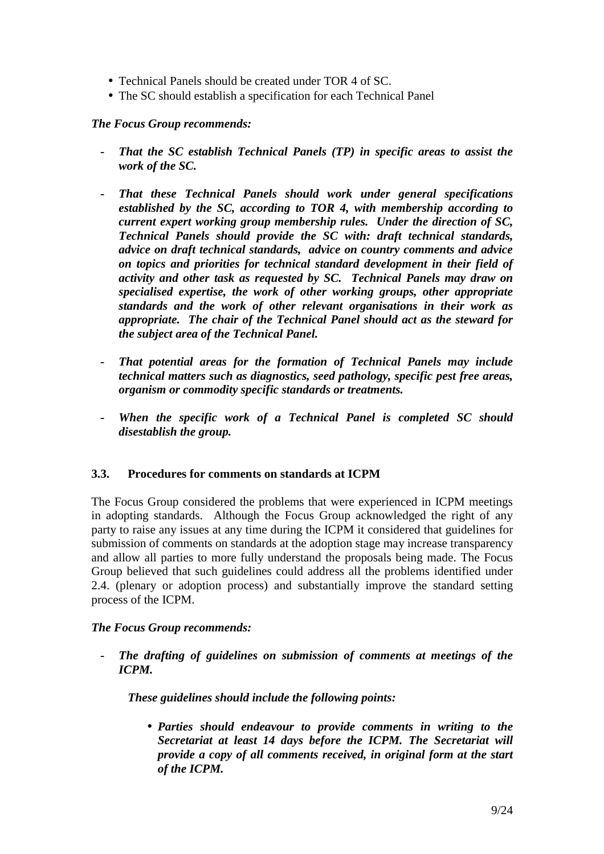- Technical Panels should be created under TOR 4 of SC.
- The SC should establish a specification for each Technical Panel

### *The Focus Group recommends:*

- *That the SC establish Technical Panels (TP) in specific areas to assist the work of the SC.*
- *That these Technical Panels should work under general specifications established by the SC, according to TOR 4, with membership according to current expert working group membership rules. Under the direction of SC, Technical Panels should provide the SC with: draft technical standards, advice on draft technical standards, advice on country comments and advice on topics and priorities for technical standard development in their field of activity and other task as requested by SC. Technical Panels may draw on specialised expertise, the work of other working groups, other appropriate standards and the work of other relevant organisations in their work as appropriate. The chair of the Technical Panel should act as the steward for the subject area of the Technical Panel.*
- *That potential areas for the formation of Technical Panels may include technical matters such as diagnostics, seed pathology, specific pest free areas, organism or commodity specific standards or treatments.*
- *When the specific work of a Technical Panel is completed SC should disestablish the group.*

#### **3.3. Procedures for comments on standards at ICPM**

The Focus Group considered the problems that were experienced in ICPM meetings in adopting standards. Although the Focus Group acknowledged the right of any party to raise any issues at any time during the ICPM it considered that guidelines for submission of comments on standards at the adoption stage may increase transparency and allow all parties to more fully understand the proposals being made. The Focus Group believed that such guidelines could address all the problems identified under 2.4. (plenary or adoption process) and substantially improve the standard setting process of the ICPM.

#### *The Focus Group recommends:*

*- The drafting of guidelines on submission of comments at meetings of the ICPM.* 

*These guidelines should include the following points:* 

• *Parties should endeavour to provide comments in writing to the Secretariat at least 14 days before the ICPM. The Secretariat will provide a copy of all comments received, in original form at the start of the ICPM.*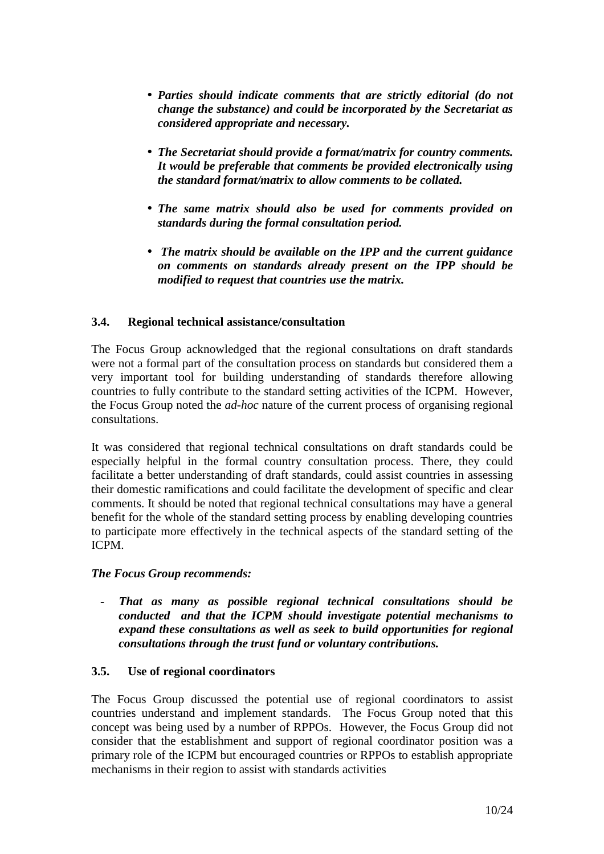- *Parties should indicate comments that are strictly editorial (do not change the substance) and could be incorporated by the Secretariat as considered appropriate and necessary.*
- *The Secretariat should provide a format/matrix for country comments. It would be preferable that comments be provided electronically using the standard format/matrix to allow comments to be collated.*
- *The same matrix should also be used for comments provided on standards during the formal consultation period.*
- • *The matrix should be available on the IPP and the current guidance on comments on standards already present on the IPP should be modified to request that countries use the matrix.*

## **3.4. Regional technical assistance/consultation**

The Focus Group acknowledged that the regional consultations on draft standards were not a formal part of the consultation process on standards but considered them a very important tool for building understanding of standards therefore allowing countries to fully contribute to the standard setting activities of the ICPM. However, the Focus Group noted the *ad-hoc* nature of the current process of organising regional consultations.

It was considered that regional technical consultations on draft standards could be especially helpful in the formal country consultation process. There, they could facilitate a better understanding of draft standards, could assist countries in assessing their domestic ramifications and could facilitate the development of specific and clear comments. It should be noted that regional technical consultations may have a general benefit for the whole of the standard setting process by enabling developing countries to participate more effectively in the technical aspects of the standard setting of the ICPM.

#### *The Focus Group recommends:*

*- That as many as possible regional technical consultations should be conducted and that the ICPM should investigate potential mechanisms to expand these consultations as well as seek to build opportunities for regional consultations through the trust fund or voluntary contributions.* 

#### **3.5. Use of regional coordinators**

The Focus Group discussed the potential use of regional coordinators to assist countries understand and implement standards. The Focus Group noted that this concept was being used by a number of RPPOs. However, the Focus Group did not consider that the establishment and support of regional coordinator position was a primary role of the ICPM but encouraged countries or RPPOs to establish appropriate mechanisms in their region to assist with standards activities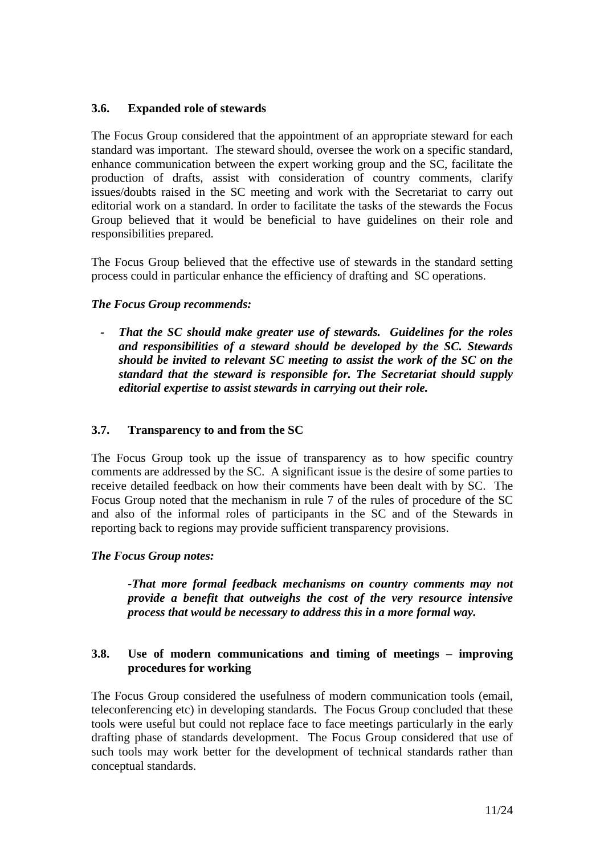### **3.6. Expanded role of stewards**

The Focus Group considered that the appointment of an appropriate steward for each standard was important. The steward should, oversee the work on a specific standard, enhance communication between the expert working group and the SC, facilitate the production of drafts, assist with consideration of country comments, clarify issues/doubts raised in the SC meeting and work with the Secretariat to carry out editorial work on a standard. In order to facilitate the tasks of the stewards the Focus Group believed that it would be beneficial to have guidelines on their role and responsibilities prepared.

The Focus Group believed that the effective use of stewards in the standard setting process could in particular enhance the efficiency of drafting and SC operations.

### *The Focus Group recommends:*

*- That the SC should make greater use of stewards. Guidelines for the roles and responsibilities of a steward should be developed by the SC. Stewards should be invited to relevant SC meeting to assist the work of the SC on the standard that the steward is responsible for. The Secretariat should supply editorial expertise to assist stewards in carrying out their role.* 

#### **3.7. Transparency to and from the SC**

The Focus Group took up the issue of transparency as to how specific country comments are addressed by the SC. A significant issue is the desire of some parties to receive detailed feedback on how their comments have been dealt with by SC. The Focus Group noted that the mechanism in rule 7 of the rules of procedure of the SC and also of the informal roles of participants in the SC and of the Stewards in reporting back to regions may provide sufficient transparency provisions.

#### *The Focus Group notes:*

*-That more formal feedback mechanisms on country comments may not provide a benefit that outweighs the cost of the very resource intensive process that would be necessary to address this in a more formal way.* 

### **3.8. Use of modern communications and timing of meetings – improving procedures for working**

The Focus Group considered the usefulness of modern communication tools (email, teleconferencing etc) in developing standards. The Focus Group concluded that these tools were useful but could not replace face to face meetings particularly in the early drafting phase of standards development. The Focus Group considered that use of such tools may work better for the development of technical standards rather than conceptual standards.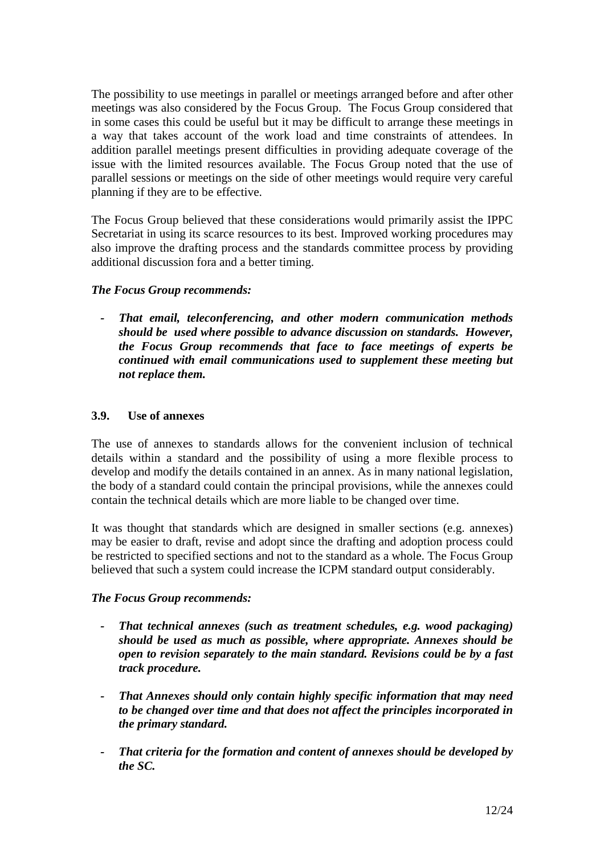The possibility to use meetings in parallel or meetings arranged before and after other meetings was also considered by the Focus Group. The Focus Group considered that in some cases this could be useful but it may be difficult to arrange these meetings in a way that takes account of the work load and time constraints of attendees. In addition parallel meetings present difficulties in providing adequate coverage of the issue with the limited resources available. The Focus Group noted that the use of parallel sessions or meetings on the side of other meetings would require very careful planning if they are to be effective.

The Focus Group believed that these considerations would primarily assist the IPPC Secretariat in using its scarce resources to its best. Improved working procedures may also improve the drafting process and the standards committee process by providing additional discussion fora and a better timing.

## *The Focus Group recommends:*

*- That email, teleconferencing, and other modern communication methods should be used where possible to advance discussion on standards. However, the Focus Group recommends that face to face meetings of experts be continued with email communications used to supplement these meeting but not replace them.* 

#### **3.9. Use of annexes**

The use of annexes to standards allows for the convenient inclusion of technical details within a standard and the possibility of using a more flexible process to develop and modify the details contained in an annex. As in many national legislation, the body of a standard could contain the principal provisions, while the annexes could contain the technical details which are more liable to be changed over time.

It was thought that standards which are designed in smaller sections (e.g. annexes) may be easier to draft, revise and adopt since the drafting and adoption process could be restricted to specified sections and not to the standard as a whole. The Focus Group believed that such a system could increase the ICPM standard output considerably.

#### *The Focus Group recommends:*

- *That technical annexes (such as treatment schedules, e.g. wood packaging) should be used as much as possible, where appropriate. Annexes should be open to revision separately to the main standard. Revisions could be by a fast track procedure.*
- *That Annexes should only contain highly specific information that may need to be changed over time and that does not affect the principles incorporated in the primary standard.*
- *That criteria for the formation and content of annexes should be developed by the SC.*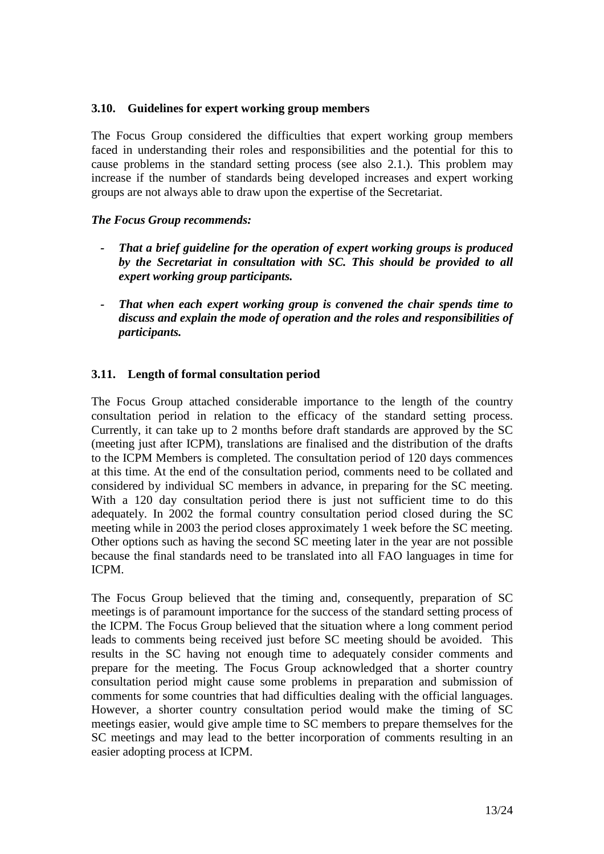### **3.10. Guidelines for expert working group members**

The Focus Group considered the difficulties that expert working group members faced in understanding their roles and responsibilities and the potential for this to cause problems in the standard setting process (see also 2.1.). This problem may increase if the number of standards being developed increases and expert working groups are not always able to draw upon the expertise of the Secretariat.

## *The Focus Group recommends:*

- *That a brief guideline for the operation of expert working groups is produced by the Secretariat in consultation with SC. This should be provided to all expert working group participants.*
- *That when each expert working group is convened the chair spends time to discuss and explain the mode of operation and the roles and responsibilities of participants.*

## **3.11. Length of formal consultation period**

The Focus Group attached considerable importance to the length of the country consultation period in relation to the efficacy of the standard setting process. Currently, it can take up to 2 months before draft standards are approved by the SC (meeting just after ICPM), translations are finalised and the distribution of the drafts to the ICPM Members is completed. The consultation period of 120 days commences at this time. At the end of the consultation period, comments need to be collated and considered by individual SC members in advance, in preparing for the SC meeting. With a 120 day consultation period there is just not sufficient time to do this adequately. In 2002 the formal country consultation period closed during the SC meeting while in 2003 the period closes approximately 1 week before the SC meeting. Other options such as having the second SC meeting later in the year are not possible because the final standards need to be translated into all FAO languages in time for ICPM.

The Focus Group believed that the timing and, consequently, preparation of SC meetings is of paramount importance for the success of the standard setting process of the ICPM. The Focus Group believed that the situation where a long comment period leads to comments being received just before SC meeting should be avoided. This results in the SC having not enough time to adequately consider comments and prepare for the meeting. The Focus Group acknowledged that a shorter country consultation period might cause some problems in preparation and submission of comments for some countries that had difficulties dealing with the official languages. However, a shorter country consultation period would make the timing of SC meetings easier, would give ample time to SC members to prepare themselves for the SC meetings and may lead to the better incorporation of comments resulting in an easier adopting process at ICPM.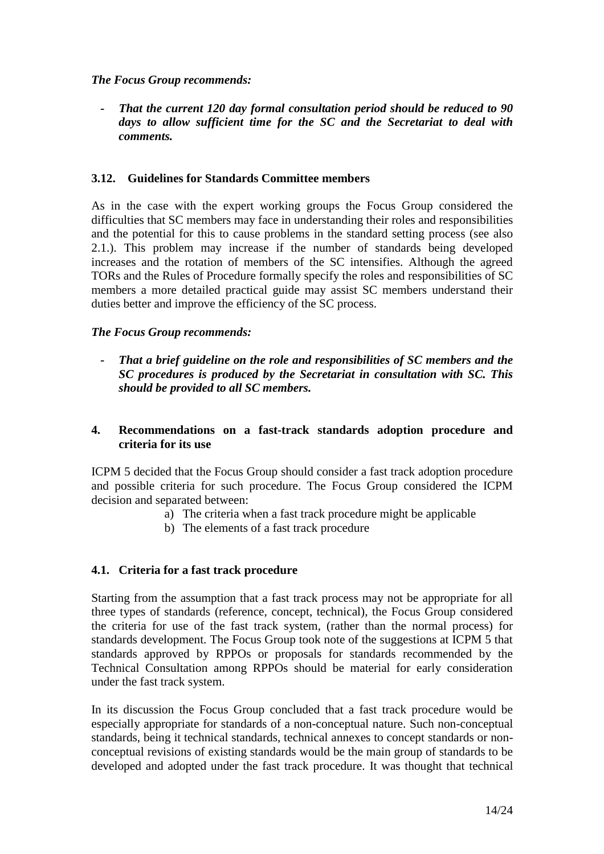### *The Focus Group recommends:*

*- That the current 120 day formal consultation period should be reduced to 90 days to allow sufficient time for the SC and the Secretariat to deal with comments.* 

#### **3.12. Guidelines for Standards Committee members**

As in the case with the expert working groups the Focus Group considered the difficulties that SC members may face in understanding their roles and responsibilities and the potential for this to cause problems in the standard setting process (see also 2.1.). This problem may increase if the number of standards being developed increases and the rotation of members of the SC intensifies. Although the agreed TORs and the Rules of Procedure formally specify the roles and responsibilities of SC members a more detailed practical guide may assist SC members understand their duties better and improve the efficiency of the SC process.

### *The Focus Group recommends:*

*- That a brief guideline on the role and responsibilities of SC members and the SC procedures is produced by the Secretariat in consultation with SC. This should be provided to all SC members.* 

### **4. Recommendations on a fast-track standards adoption procedure and criteria for its use**

ICPM 5 decided that the Focus Group should consider a fast track adoption procedure and possible criteria for such procedure. The Focus Group considered the ICPM decision and separated between:

- a) The criteria when a fast track procedure might be applicable
- b) The elements of a fast track procedure

## **4.1. Criteria for a fast track procedure**

Starting from the assumption that a fast track process may not be appropriate for all three types of standards (reference, concept, technical), the Focus Group considered the criteria for use of the fast track system, (rather than the normal process) for standards development. The Focus Group took note of the suggestions at ICPM 5 that standards approved by RPPOs or proposals for standards recommended by the Technical Consultation among RPPOs should be material for early consideration under the fast track system.

In its discussion the Focus Group concluded that a fast track procedure would be especially appropriate for standards of a non-conceptual nature. Such non-conceptual standards, being it technical standards, technical annexes to concept standards or nonconceptual revisions of existing standards would be the main group of standards to be developed and adopted under the fast track procedure. It was thought that technical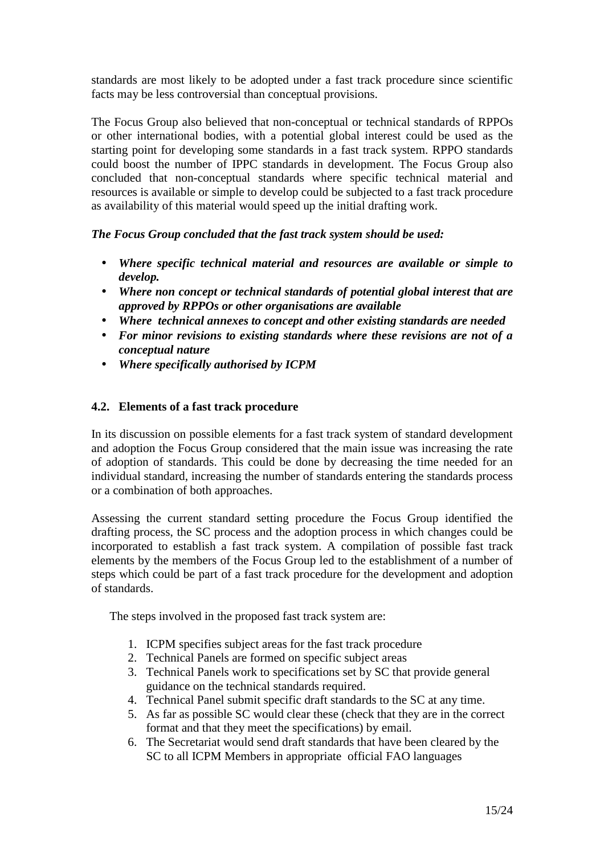standards are most likely to be adopted under a fast track procedure since scientific facts may be less controversial than conceptual provisions.

The Focus Group also believed that non-conceptual or technical standards of RPPOs or other international bodies, with a potential global interest could be used as the starting point for developing some standards in a fast track system. RPPO standards could boost the number of IPPC standards in development. The Focus Group also concluded that non-conceptual standards where specific technical material and resources is available or simple to develop could be subjected to a fast track procedure as availability of this material would speed up the initial drafting work.

## *The Focus Group concluded that the fast track system should be used:*

- *Where specific technical material and resources are available or simple to develop.*
- *Where non concept or technical standards of potential global interest that are approved by RPPOs or other organisations are available*
- *Where technical annexes to concept and other existing standards are needed*
- *For minor revisions to existing standards where these revisions are not of a conceptual nature*
- *Where specifically authorised by ICPM*

#### **4.2. Elements of a fast track procedure**

In its discussion on possible elements for a fast track system of standard development and adoption the Focus Group considered that the main issue was increasing the rate of adoption of standards. This could be done by decreasing the time needed for an individual standard, increasing the number of standards entering the standards process or a combination of both approaches.

Assessing the current standard setting procedure the Focus Group identified the drafting process, the SC process and the adoption process in which changes could be incorporated to establish a fast track system. A compilation of possible fast track elements by the members of the Focus Group led to the establishment of a number of steps which could be part of a fast track procedure for the development and adoption of standards.

The steps involved in the proposed fast track system are:

- 1. ICPM specifies subject areas for the fast track procedure
- 2. Technical Panels are formed on specific subject areas
- 3. Technical Panels work to specifications set by SC that provide general guidance on the technical standards required.
- 4. Technical Panel submit specific draft standards to the SC at any time.
- 5. As far as possible SC would clear these (check that they are in the correct format and that they meet the specifications) by email.
- 6. The Secretariat would send draft standards that have been cleared by the SC to all ICPM Members in appropriate official FAO languages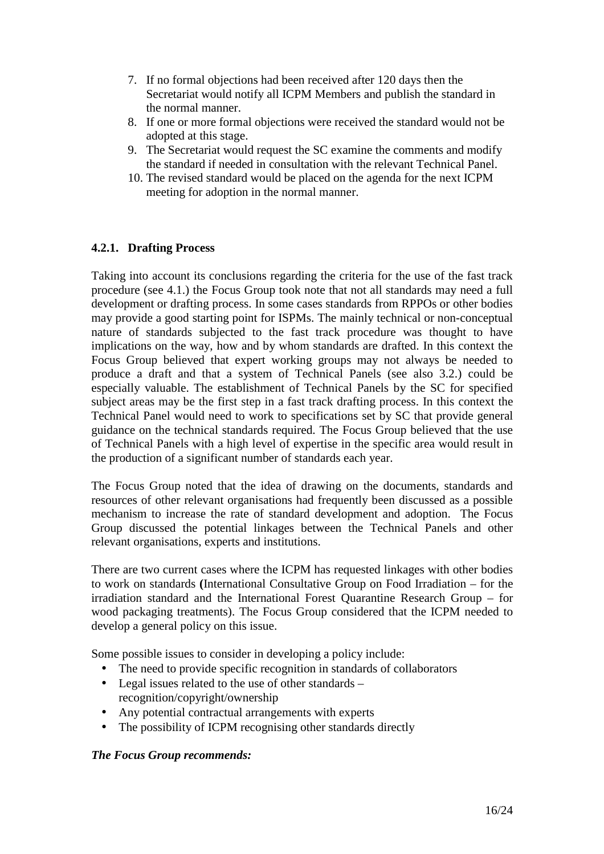- 7. If no formal objections had been received after 120 days then the Secretariat would notify all ICPM Members and publish the standard in the normal manner.
- 8. If one or more formal objections were received the standard would not be adopted at this stage.
- 9. The Secretariat would request the SC examine the comments and modify the standard if needed in consultation with the relevant Technical Panel.
- 10. The revised standard would be placed on the agenda for the next ICPM meeting for adoption in the normal manner.

## **4.2.1. Drafting Process**

Taking into account its conclusions regarding the criteria for the use of the fast track procedure (see 4.1.) the Focus Group took note that not all standards may need a full development or drafting process. In some cases standards from RPPOs or other bodies may provide a good starting point for ISPMs. The mainly technical or non-conceptual nature of standards subjected to the fast track procedure was thought to have implications on the way, how and by whom standards are drafted. In this context the Focus Group believed that expert working groups may not always be needed to produce a draft and that a system of Technical Panels (see also 3.2.) could be especially valuable. The establishment of Technical Panels by the SC for specified subject areas may be the first step in a fast track drafting process. In this context the Technical Panel would need to work to specifications set by SC that provide general guidance on the technical standards required. The Focus Group believed that the use of Technical Panels with a high level of expertise in the specific area would result in the production of a significant number of standards each year.

The Focus Group noted that the idea of drawing on the documents, standards and resources of other relevant organisations had frequently been discussed as a possible mechanism to increase the rate of standard development and adoption. The Focus Group discussed the potential linkages between the Technical Panels and other relevant organisations, experts and institutions.

There are two current cases where the ICPM has requested linkages with other bodies to work on standards **(**International Consultative Group on Food Irradiation – for the irradiation standard and the International Forest Quarantine Research Group – for wood packaging treatments). The Focus Group considered that the ICPM needed to develop a general policy on this issue.

Some possible issues to consider in developing a policy include:

- The need to provide specific recognition in standards of collaborators
- Legal issues related to the use of other standards recognition/copyright/ownership
- Any potential contractual arrangements with experts
- The possibility of ICPM recognising other standards directly

#### *The Focus Group recommends:*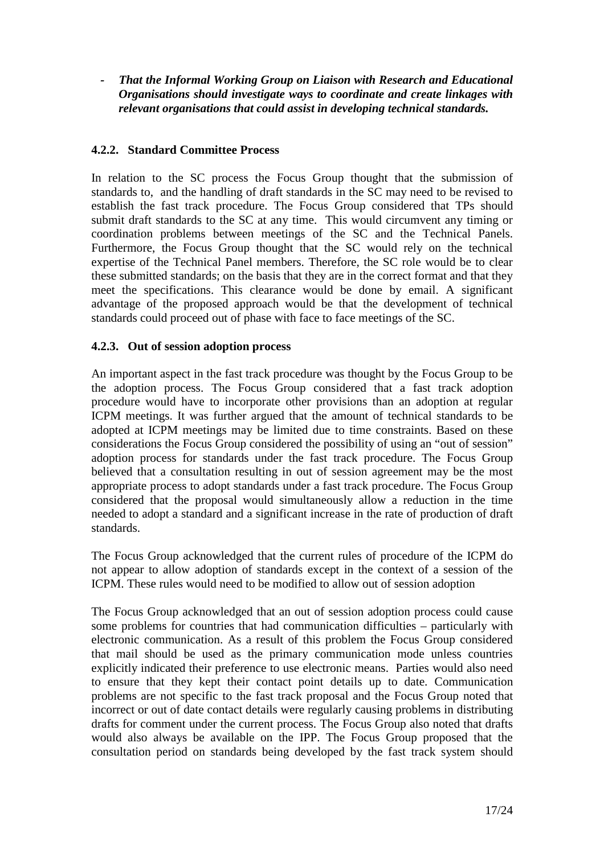*- That the Informal Working Group on Liaison with Research and Educational Organisations should investigate ways to coordinate and create linkages with relevant organisations that could assist in developing technical standards.* 

# **4.2.2. Standard Committee Process**

In relation to the SC process the Focus Group thought that the submission of standards to, and the handling of draft standards in the SC may need to be revised to establish the fast track procedure. The Focus Group considered that TPs should submit draft standards to the SC at any time. This would circumvent any timing or coordination problems between meetings of the SC and the Technical Panels. Furthermore, the Focus Group thought that the SC would rely on the technical expertise of the Technical Panel members. Therefore, the SC role would be to clear these submitted standards; on the basis that they are in the correct format and that they meet the specifications. This clearance would be done by email. A significant advantage of the proposed approach would be that the development of technical standards could proceed out of phase with face to face meetings of the SC.

## **4.2.3. Out of session adoption process**

An important aspect in the fast track procedure was thought by the Focus Group to be the adoption process. The Focus Group considered that a fast track adoption procedure would have to incorporate other provisions than an adoption at regular ICPM meetings. It was further argued that the amount of technical standards to be adopted at ICPM meetings may be limited due to time constraints. Based on these considerations the Focus Group considered the possibility of using an "out of session" adoption process for standards under the fast track procedure. The Focus Group believed that a consultation resulting in out of session agreement may be the most appropriate process to adopt standards under a fast track procedure. The Focus Group considered that the proposal would simultaneously allow a reduction in the time needed to adopt a standard and a significant increase in the rate of production of draft standards.

The Focus Group acknowledged that the current rules of procedure of the ICPM do not appear to allow adoption of standards except in the context of a session of the ICPM. These rules would need to be modified to allow out of session adoption

The Focus Group acknowledged that an out of session adoption process could cause some problems for countries that had communication difficulties – particularly with electronic communication. As a result of this problem the Focus Group considered that mail should be used as the primary communication mode unless countries explicitly indicated their preference to use electronic means. Parties would also need to ensure that they kept their contact point details up to date. Communication problems are not specific to the fast track proposal and the Focus Group noted that incorrect or out of date contact details were regularly causing problems in distributing drafts for comment under the current process. The Focus Group also noted that drafts would also always be available on the IPP. The Focus Group proposed that the consultation period on standards being developed by the fast track system should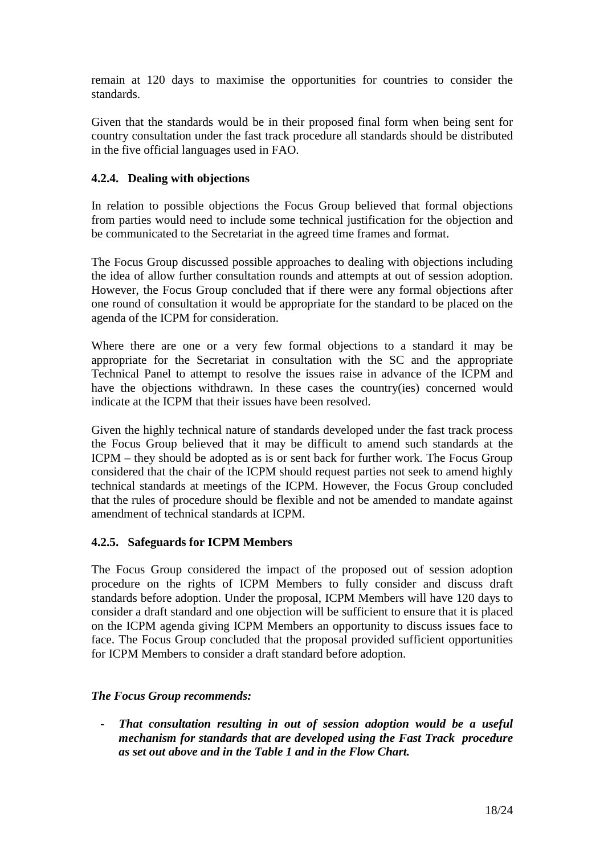remain at 120 days to maximise the opportunities for countries to consider the standards.

Given that the standards would be in their proposed final form when being sent for country consultation under the fast track procedure all standards should be distributed in the five official languages used in FAO.

### **4.2.4. Dealing with objections**

In relation to possible objections the Focus Group believed that formal objections from parties would need to include some technical justification for the objection and be communicated to the Secretariat in the agreed time frames and format.

The Focus Group discussed possible approaches to dealing with objections including the idea of allow further consultation rounds and attempts at out of session adoption. However, the Focus Group concluded that if there were any formal objections after one round of consultation it would be appropriate for the standard to be placed on the agenda of the ICPM for consideration.

Where there are one or a very few formal objections to a standard it may be appropriate for the Secretariat in consultation with the SC and the appropriate Technical Panel to attempt to resolve the issues raise in advance of the ICPM and have the objections withdrawn. In these cases the country(ies) concerned would indicate at the ICPM that their issues have been resolved.

Given the highly technical nature of standards developed under the fast track process the Focus Group believed that it may be difficult to amend such standards at the ICPM – they should be adopted as is or sent back for further work. The Focus Group considered that the chair of the ICPM should request parties not seek to amend highly technical standards at meetings of the ICPM. However, the Focus Group concluded that the rules of procedure should be flexible and not be amended to mandate against amendment of technical standards at ICPM.

## **4.2.5. Safeguards for ICPM Members**

The Focus Group considered the impact of the proposed out of session adoption procedure on the rights of ICPM Members to fully consider and discuss draft standards before adoption. Under the proposal, ICPM Members will have 120 days to consider a draft standard and one objection will be sufficient to ensure that it is placed on the ICPM agenda giving ICPM Members an opportunity to discuss issues face to face. The Focus Group concluded that the proposal provided sufficient opportunities for ICPM Members to consider a draft standard before adoption.

## *The Focus Group recommends:*

*- That consultation resulting in out of session adoption would be a useful mechanism for standards that are developed using the Fast Track procedure as set out above and in the Table 1 and in the Flow Chart.*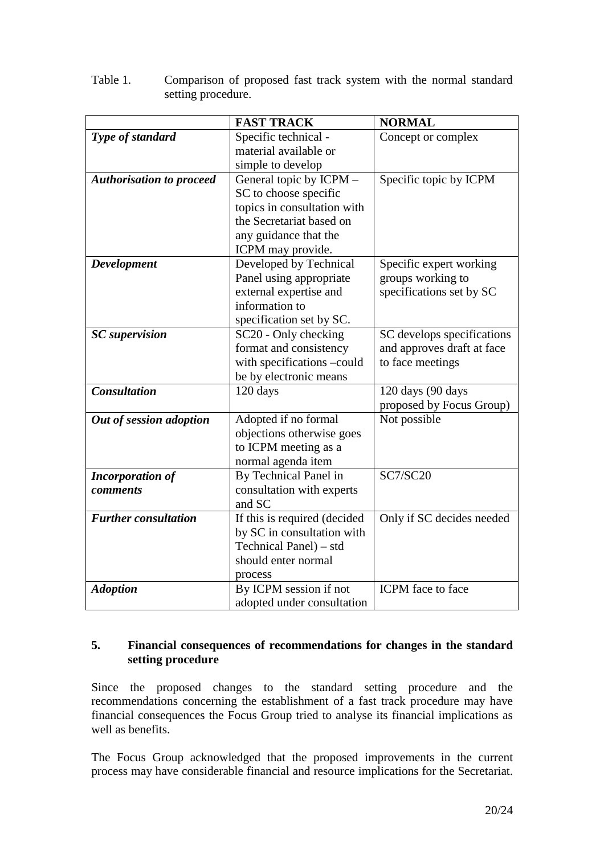|                                 | <b>FAST TRACK</b>            | <b>NORMAL</b>              |
|---------------------------------|------------------------------|----------------------------|
| Type of standard                | Specific technical -         | Concept or complex         |
|                                 | material available or        |                            |
|                                 | simple to develop            |                            |
| <b>Authorisation to proceed</b> | General topic by ICPM -      | Specific topic by ICPM     |
|                                 | SC to choose specific        |                            |
|                                 | topics in consultation with  |                            |
|                                 | the Secretariat based on     |                            |
|                                 | any guidance that the        |                            |
|                                 | ICPM may provide.            |                            |
| <b>Development</b>              | Developed by Technical       | Specific expert working    |
|                                 | Panel using appropriate      | groups working to          |
|                                 | external expertise and       | specifications set by SC   |
|                                 | information to               |                            |
|                                 | specification set by SC.     |                            |
| <b>SC</b> supervision           | SC20 - Only checking         | SC develops specifications |
|                                 | format and consistency       | and approves draft at face |
|                                 | with specifications -could   | to face meetings           |
|                                 | be by electronic means       |                            |
| <b>Consultation</b>             | 120 days                     | 120 days (90 days          |
|                                 |                              | proposed by Focus Group)   |
| Out of session adoption         | Adopted if no formal         | Not possible               |
|                                 | objections otherwise goes    |                            |
|                                 | to ICPM meeting as a         |                            |
|                                 | normal agenda item           |                            |
| <b>Incorporation of</b>         | By Technical Panel in        | SC7/SC20                   |
| <i>comments</i>                 | consultation with experts    |                            |
|                                 | and SC                       |                            |
| <b>Further consultation</b>     | If this is required (decided | Only if SC decides needed  |
|                                 | by SC in consultation with   |                            |
|                                 | Technical Panel) – std       |                            |
|                                 | should enter normal          |                            |
|                                 | process                      |                            |
| <b>Adoption</b>                 | By ICPM session if not       | ICPM face to face          |
|                                 | adopted under consultation   |                            |

Table 1. Comparison of proposed fast track system with the normal standard setting procedure.

## **5. Financial consequences of recommendations for changes in the standard setting procedure**

Since the proposed changes to the standard setting procedure and the recommendations concerning the establishment of a fast track procedure may have financial consequences the Focus Group tried to analyse its financial implications as well as benefits.

The Focus Group acknowledged that the proposed improvements in the current process may have considerable financial and resource implications for the Secretariat.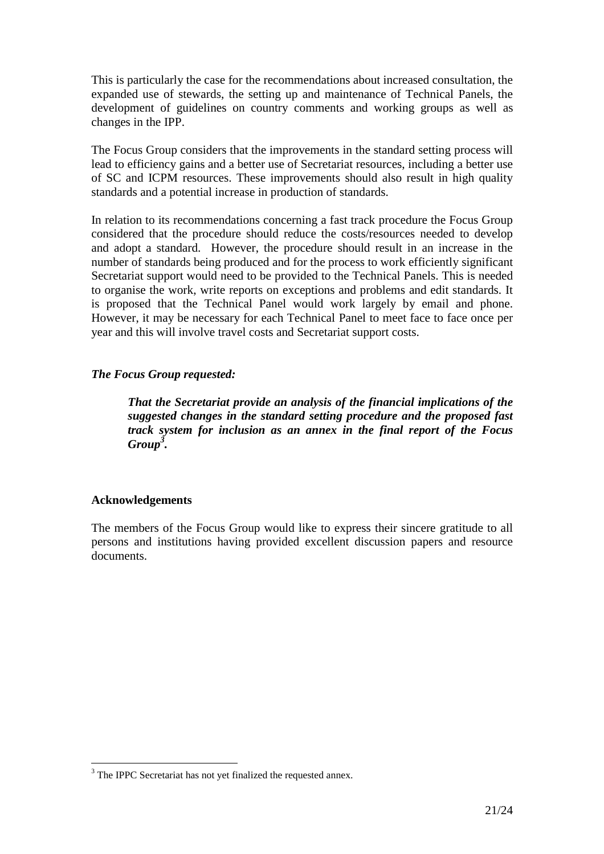This is particularly the case for the recommendations about increased consultation, the expanded use of stewards, the setting up and maintenance of Technical Panels, the development of guidelines on country comments and working groups as well as changes in the IPP.

The Focus Group considers that the improvements in the standard setting process will lead to efficiency gains and a better use of Secretariat resources, including a better use of SC and ICPM resources. These improvements should also result in high quality standards and a potential increase in production of standards.

In relation to its recommendations concerning a fast track procedure the Focus Group considered that the procedure should reduce the costs/resources needed to develop and adopt a standard. However, the procedure should result in an increase in the number of standards being produced and for the process to work efficiently significant Secretariat support would need to be provided to the Technical Panels. This is needed to organise the work, write reports on exceptions and problems and edit standards. It is proposed that the Technical Panel would work largely by email and phone. However, it may be necessary for each Technical Panel to meet face to face once per year and this will involve travel costs and Secretariat support costs.

# *The Focus Group requested:*

*That the Secretariat provide an analysis of the financial implications of the suggested changes in the standard setting procedure and the proposed fast track system for inclusion as an annex in the final report of the Focus Group<sup>3</sup> .* 

## **Acknowledgements**

 $\overline{a}$ 

The members of the Focus Group would like to express their sincere gratitude to all persons and institutions having provided excellent discussion papers and resource documents.

 $3$  The IPPC Secretariat has not yet finalized the requested annex.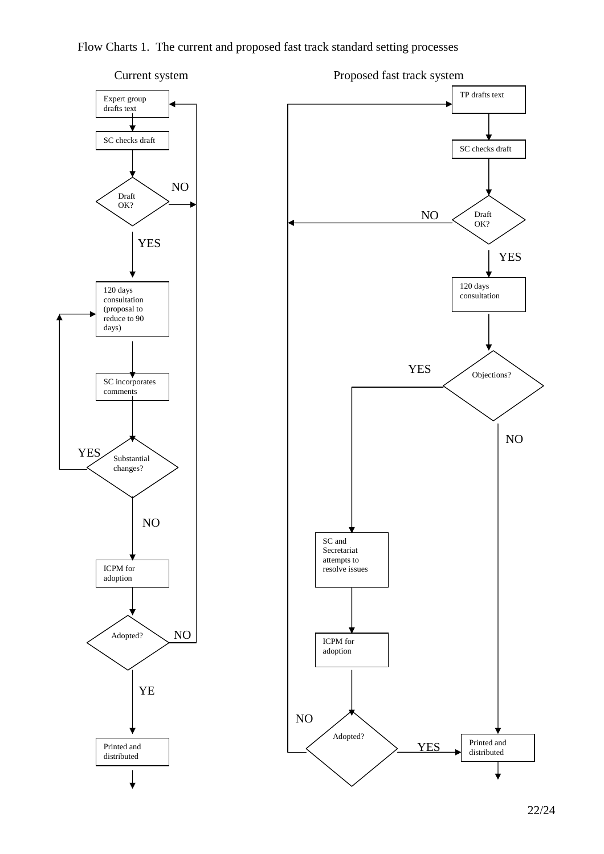

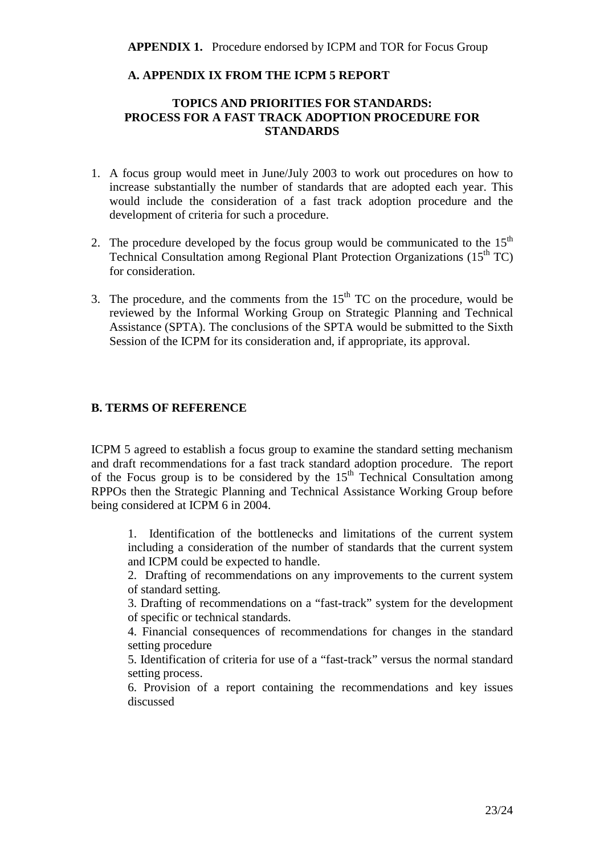### **A. APPENDIX IX FROM THE ICPM 5 REPORT**

### **TOPICS AND PRIORITIES FOR STANDARDS: PROCESS FOR A FAST TRACK ADOPTION PROCEDURE FOR STANDARDS**

- 1. A focus group would meet in June/July 2003 to work out procedures on how to increase substantially the number of standards that are adopted each year. This would include the consideration of a fast track adoption procedure and the development of criteria for such a procedure.
- 2. The procedure developed by the focus group would be communicated to the  $15<sup>th</sup>$ Technical Consultation among Regional Plant Protection Organizations  $(15<sup>th</sup> TC)$ for consideration.
- 3. The procedure, and the comments from the  $15<sup>th</sup> TC$  on the procedure, would be reviewed by the Informal Working Group on Strategic Planning and Technical Assistance (SPTA). The conclusions of the SPTA would be submitted to the Sixth Session of the ICPM for its consideration and, if appropriate, its approval.

#### **B. TERMS OF REFERENCE**

ICPM 5 agreed to establish a focus group to examine the standard setting mechanism and draft recommendations for a fast track standard adoption procedure. The report of the Focus group is to be considered by the  $15<sup>th</sup>$  Technical Consultation among RPPOs then the Strategic Planning and Technical Assistance Working Group before being considered at ICPM 6 in 2004.

1. Identification of the bottlenecks and limitations of the current system including a consideration of the number of standards that the current system and ICPM could be expected to handle.

2. Drafting of recommendations on any improvements to the current system of standard setting.

3. Drafting of recommendations on a "fast-track" system for the development of specific or technical standards.

4. Financial consequences of recommendations for changes in the standard setting procedure

5. Identification of criteria for use of a "fast-track" versus the normal standard setting process.

6. Provision of a report containing the recommendations and key issues discussed